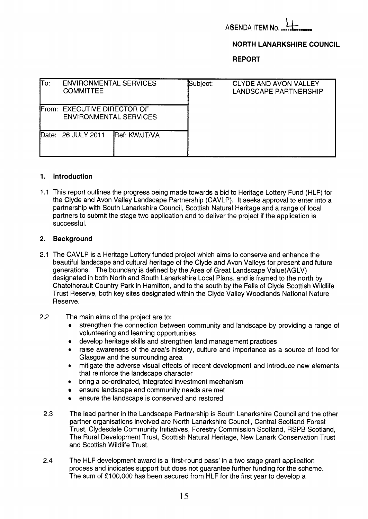

# **NORTH LANARKSHIRE COUNCIL**

**REPORT** 

| lTo:  | <b>ENVIRONMENTAL SERVICES</b><br><b>COMMITTEE</b>            |               | Subject: | CLYDE AND AVON VALLEY<br>LANDSCAPE PARTNERSHIP |  |
|-------|--------------------------------------------------------------|---------------|----------|------------------------------------------------|--|
|       | From: EXECUTIVE DIRECTOR OF<br><b>ENVIRONMENTAL SERVICES</b> |               |          |                                                |  |
| Date: | 26 JULY 2011                                                 | Ref: KW/JT/VA |          |                                                |  |

## **1. Introduction**

1.1 This report outlines the progress being made towards a bid to Heritage Lottery Fund (HLF) for the Clyde and Avon Valley Landscape Partnership (CAVLP). It seeks approval to enter into a partnership with South Lanarkshire Council, Scottish Natural Heritage and a range of local partners to submit the stage two application and to deliver the project if the application is successful.

## **2. Background**

- 2.1 The CAVLP is a Heritage Lottery funded project which aims to conserve and enhance the beautiful landscape and cultural heritage of the Clyde and Avon Valleys for present and future generations. The boundary is defined by the Area of Great Landscape Value(AGLV) designated in both North and South Lanarkshire Local Plans, and is framed to the north by Chatelherault Country Park in Hamilton, and to the south by the Falls of Clyde Scottish Wildlife Trust Reserve, both key sites designated within the Clyde Valley Woodlands National Nature Reserve.
- 2.2 The main aims of the project are to:
	- strengthen the connection between community and landscape by providing a range of volunteering and learning opportunities
	- develop heritage skills and strengthen land management practices  $\bullet$
	- *0* raise awareness of the area's history, culture and importance as a source of food for Glasgow and the surrounding area
	- *0* mitigate the adverse visual effects of recent development and introduce new elements that reinforce the landscape character
	- bring a co-ordinated, integrated investment mechanism
	- ensure landscape and community needs are met
	- ensure the landscape is conserved and restored
	- 2.3 The lead partner in the Landscape Partnership is South Lanarkshire Council and the other partner organisations involved are North Lanarkshire Council, Central Scotland Forest Trust, Clydesdale Community Initiatives, Forestry Commission Scotland, RSPB Scotland, The Rural Development Trust, Scottish Natural Heritage, New Lanark Conservation Trust and Scottish Wildlife Trust.
- 2.4 The HLF development award is a 'first-round pass' in a two stage grant application process and indicates support but does not guarantee further funding for the scheme. The sum of €100,000 has been secured from HLF for the first year to develop a